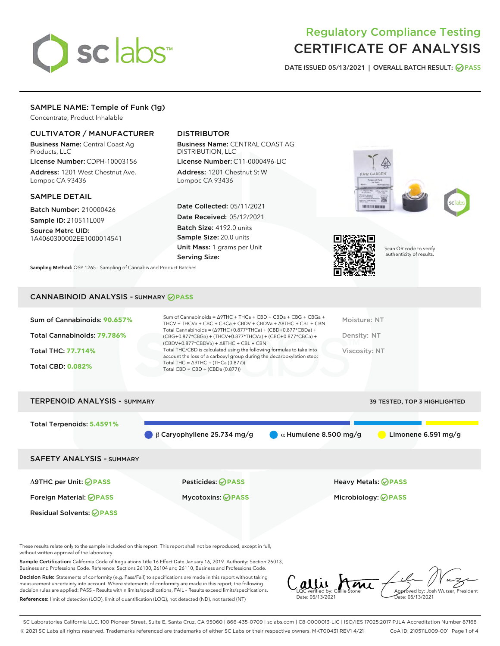

# Regulatory Compliance Testing CERTIFICATE OF ANALYSIS

DATE ISSUED 05/13/2021 | OVERALL BATCH RESULT: @ PASS

# SAMPLE NAME: Temple of Funk (1g)

Concentrate, Product Inhalable

# CULTIVATOR / MANUFACTURER

Business Name: Central Coast Ag Products, LLC

License Number: CDPH-10003156 Address: 1201 West Chestnut Ave. Lompoc CA 93436

#### SAMPLE DETAIL

Batch Number: 210000426 Sample ID: 210511L009

Source Metrc UID: 1A4060300002EE1000014541

# DISTRIBUTOR

Business Name: CENTRAL COAST AG DISTRIBUTION, LLC

License Number: C11-0000496-LIC Address: 1201 Chestnut St W Lompoc CA 93436

Date Collected: 05/11/2021 Date Received: 05/12/2021 Batch Size: 4192.0 units Sample Size: 20.0 units Unit Mass: 1 grams per Unit Serving Size:







Scan QR code to verify authenticity of results.

Sampling Method: QSP 1265 - Sampling of Cannabis and Product Batches

### CANNABINOID ANALYSIS - SUMMARY **PASS**

| Total Cannabinoids = $(\Delta$ 9THC+0.877*THCa) + (CBD+0.877*CBDa) +<br>Total Cannabinoids: 79.786%<br>Density: NT<br>(CBG+0.877*CBGa) + (THCV+0.877*THCVa) + (CBC+0.877*CBCa) +<br>$(CBDV+0.877*CBDVa) + \Delta 8THC + CBL + CBN$<br>Total THC/CBD is calculated using the following formulas to take into<br><b>Total THC: 77.714%</b><br>Viscosity: NT<br>account the loss of a carboxyl group during the decarboxylation step:<br>Total THC = $\triangle$ 9THC + (THCa (0.877))<br><b>Total CBD: 0.082%</b><br>Total CBD = $CBD + (CBDa (0.877))$ | Sum of Cannabinoids: 90.657% | Sum of Cannabinoids = ∆9THC + THCa + CBD + CBDa + CBG + CBGa +<br>THCV + THCVa + CBC + CBCa + CBDV + CBDVa + $\Delta$ 8THC + CBL + CBN | Moisture: NT |
|-------------------------------------------------------------------------------------------------------------------------------------------------------------------------------------------------------------------------------------------------------------------------------------------------------------------------------------------------------------------------------------------------------------------------------------------------------------------------------------------------------------------------------------------------------|------------------------------|----------------------------------------------------------------------------------------------------------------------------------------|--------------|
|                                                                                                                                                                                                                                                                                                                                                                                                                                                                                                                                                       |                              |                                                                                                                                        |              |
|                                                                                                                                                                                                                                                                                                                                                                                                                                                                                                                                                       |                              |                                                                                                                                        |              |
|                                                                                                                                                                                                                                                                                                                                                                                                                                                                                                                                                       |                              |                                                                                                                                        |              |

| <b>TERPENOID ANALYSIS - SUMMARY</b> |                                   |                              | 39 TESTED, TOP 3 HIGHLIGHTED |
|-------------------------------------|-----------------------------------|------------------------------|------------------------------|
| Total Terpenoids: 5.4591%           | $\beta$ Garyophyllene 25.734 mg/g | $\alpha$ Humulene 8.500 mg/g | Limonene 6.591 $mg/g$        |
| <b>SAFETY ANALYSIS - SUMMARY</b>    |                                   |                              |                              |
| ∆9THC per Unit: ⊘PASS               | <b>Pesticides: ⊘PASS</b>          | Heavy Metals: <b>OPASS</b>   |                              |
| Foreign Material: <b>⊘ PASS</b>     | <b>Mycotoxins: ⊘PASS</b>          | Microbiology: <b>⊘PASS</b>   |                              |
| <b>Residual Solvents: ⊘ PASS</b>    |                                   |                              |                              |

These results relate only to the sample included on this report. This report shall not be reproduced, except in full, without written approval of the laboratory.

Sample Certification: California Code of Regulations Title 16 Effect Date January 16, 2019. Authority: Section 26013, Business and Professions Code. Reference: Sections 26100, 26104 and 26110, Business and Professions Code.

Decision Rule: Statements of conformity (e.g. Pass/Fail) to specifications are made in this report without taking measurement uncertainty into account. Where statements of conformity are made in this report, the following decision rules are applied: PASS – Results within limits/specifications, FAIL – Results exceed limits/specifications. References: limit of detection (LOD), limit of quantification (LOQ), not detected (ND), not tested (NT)

 $\int_{\text{loc}}$  all  $\mu$   $\leftarrow$  and Date: 05/13/2021 Approved by: Josh Wurzer, President ate: 05/13/2021

SC Laboratories California LLC. 100 Pioneer Street, Suite E, Santa Cruz, CA 95060 | 866-435-0709 | sclabs.com | C8-0000013-LIC | ISO/IES 17025:2017 PJLA Accreditation Number 87168 © 2021 SC Labs all rights reserved. Trademarks referenced are trademarks of either SC Labs or their respective owners. MKT00431 REV1 4/21 CoA ID: 210511L009-001 Page 1 of 4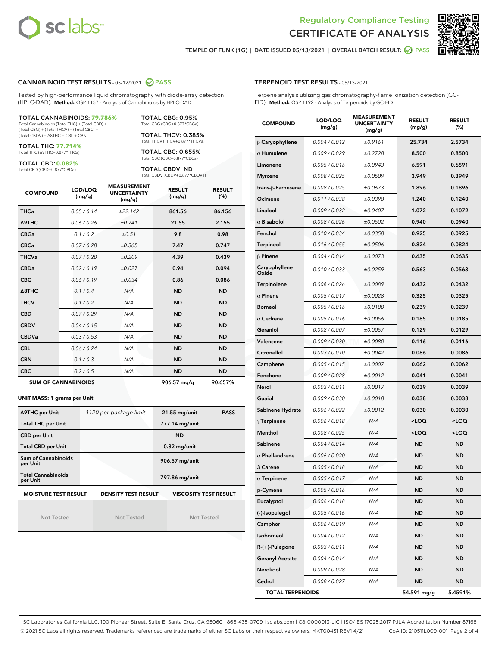



TEMPLE OF FUNK (1G) | DATE ISSUED 05/13/2021 | OVERALL BATCH RESULT: 2 PASS

#### CANNABINOID TEST RESULTS - 05/12/2021 2 PASS

Tested by high-performance liquid chromatography with diode-array detection (HPLC-DAD). **Method:** QSP 1157 - Analysis of Cannabinoids by HPLC-DAD

TOTAL CANNABINOIDS: **79.786%** Total Cannabinoids (Total THC) + (Total CBD) +

(Total CBG) + (Total THCV) + (Total CBC) + (Total CBDV) + ∆8THC + CBL + CBN

TOTAL THC: **77.714%** Total THC (∆9THC+0.877\*THCa)

TOTAL CBD: **0.082%**

Total CBD (CBD+0.877\*CBDa)

TOTAL CBG: 0.95% Total CBG (CBG+0.877\*CBGa)

TOTAL THCV: 0.385% Total THCV (THCV+0.877\*THCVa)

TOTAL CBC: 0.655% Total CBC (CBC+0.877\*CBCa)

TOTAL CBDV: ND Total CBDV (CBDV+0.877\*CBDVa)

| <b>COMPOUND</b> | LOD/LOQ<br>(mg/g)          | <b>MEASUREMENT</b><br><b>UNCERTAINTY</b><br>(mg/g) | <b>RESULT</b><br>(mg/g) | <b>RESULT</b><br>(%) |
|-----------------|----------------------------|----------------------------------------------------|-------------------------|----------------------|
| <b>THCa</b>     | 0.05/0.14                  | ±22.142                                            | 861.56                  | 86.156               |
| <b>A9THC</b>    | 0.06 / 0.26                | ±0.741                                             | 21.55                   | 2.155                |
| <b>CBGa</b>     | 0.1/0.2                    | ±0.51                                              | 9.8                     | 0.98                 |
| <b>CBCa</b>     | 0.07/0.28                  | ±0.365                                             | 7.47                    | 0.747                |
| <b>THCVa</b>    | 0.07/0.20                  | ±0.209                                             | 4.39                    | 0.439                |
| <b>CBDa</b>     | 0.02/0.19                  | ±0.027                                             | 0.94                    | 0.094                |
| <b>CBG</b>      | 0.06/0.19                  | ±0.034                                             | 0.86                    | 0.086                |
| A8THC           | 0.1 / 0.4                  | N/A                                                | <b>ND</b>               | <b>ND</b>            |
| <b>THCV</b>     | 0.1/0.2                    | N/A                                                | <b>ND</b>               | <b>ND</b>            |
| <b>CBD</b>      | 0.07/0.29                  | N/A                                                | <b>ND</b>               | <b>ND</b>            |
| <b>CBDV</b>     | 0.04 / 0.15                | N/A                                                | <b>ND</b>               | <b>ND</b>            |
| <b>CBDVa</b>    | 0.03/0.53                  | N/A                                                | <b>ND</b>               | <b>ND</b>            |
| <b>CBL</b>      | 0.06 / 0.24                | N/A                                                | <b>ND</b>               | <b>ND</b>            |
| <b>CBN</b>      | 0.1/0.3                    | N/A                                                | <b>ND</b>               | <b>ND</b>            |
| <b>CBC</b>      | 0.2 / 0.5                  | N/A                                                | <b>ND</b>               | <b>ND</b>            |
|                 | <b>SUM OF CANNABINOIDS</b> |                                                    | 906.57 mg/g             | 90.657%              |

**UNIT MASS: 1 grams per Unit**

| ∆9THC per Unit                        | 1120 per-package limit     | 21.55 mg/unit<br><b>PASS</b> |
|---------------------------------------|----------------------------|------------------------------|
| <b>Total THC per Unit</b>             |                            | 777.14 mg/unit               |
| <b>CBD per Unit</b>                   |                            | <b>ND</b>                    |
| <b>Total CBD per Unit</b>             |                            | $0.82$ mg/unit               |
| Sum of Cannabinoids<br>per Unit       |                            | 906.57 mg/unit               |
| <b>Total Cannabinoids</b><br>per Unit |                            | 797.86 mg/unit               |
| <b>MOISTURE TEST RESULT</b>           | <b>DENSITY TEST RESULT</b> | <b>VISCOSITY TEST RESULT</b> |

Not Tested

Not Tested

Not Tested

#### TERPENOID TEST RESULTS - 05/13/2021

Terpene analysis utilizing gas chromatography-flame ionization detection (GC-FID). **Method:** QSP 1192 - Analysis of Terpenoids by GC-FID

| <b>COMPOUND</b>         | LOD/LOQ<br>(mg/g) | <b>MEASUREMENT</b><br><b>UNCERTAINTY</b><br>(mg/g) | <b>RESULT</b><br>(mg/g)                         | <b>RESULT</b><br>(%) |
|-------------------------|-------------------|----------------------------------------------------|-------------------------------------------------|----------------------|
| $\beta$ Caryophyllene   | 0.004 / 0.012     | ±0.9161                                            | 25.734                                          | 2.5734               |
| $\alpha$ Humulene       | 0.009/0.029       | ±0.2728                                            | 8.500                                           | 0.8500               |
| Limonene                | 0.005 / 0.016     | ±0.0943                                            | 6.591                                           | 0.6591               |
| <b>Myrcene</b>          | 0.008 / 0.025     | ±0.0509                                            | 3.949                                           | 0.3949               |
| trans-ß-Farnesene       | 0.008 / 0.025     | ±0.0673                                            | 1.896                                           | 0.1896               |
| Ocimene                 | 0.011 / 0.038     | ±0.0398                                            | 1.240                                           | 0.1240               |
| Linalool                | 0.009 / 0.032     | ±0.0407                                            | 1.072                                           | 0.1072               |
| $\alpha$ Bisabolol      | 0.008 / 0.026     | ±0.0502                                            | 0.940                                           | 0.0940               |
| Fenchol                 | 0.010 / 0.034     | ±0.0358                                            | 0.925                                           | 0.0925               |
| <b>Terpineol</b>        | 0.016 / 0.055     | ±0.0506                                            | 0.824                                           | 0.0824               |
| $\beta$ Pinene          | 0.004 / 0.014     | ±0.0073                                            | 0.635                                           | 0.0635               |
| Caryophyllene<br>Oxide  | 0.010 / 0.033     | ±0.0259                                            | 0.563                                           | 0.0563               |
| Terpinolene             | 0.008 / 0.026     | ±0.0089                                            | 0.432                                           | 0.0432               |
| $\alpha$ Pinene         | 0.005 / 0.017     | ±0.0028                                            | 0.325                                           | 0.0325               |
| <b>Borneol</b>          | 0.005 / 0.016     | ±0.0100                                            | 0.239                                           | 0.0239               |
| $\alpha$ Cedrene        | 0.005 / 0.016     | ±0.0056                                            | 0.185                                           | 0.0185               |
| Geraniol                | 0.002 / 0.007     | ±0.0057                                            | 0.129                                           | 0.0129               |
| Valencene               | 0.009 / 0.030     | ±0.0080                                            | 0.116                                           | 0.0116               |
| Citronellol             | 0.003 / 0.010     | ±0.0042                                            | 0.086                                           | 0.0086               |
| Camphene                | 0.005 / 0.015     | ±0.0007                                            | 0.062                                           | 0.0062               |
| Fenchone                | 0.009 / 0.028     | ±0.0012                                            | 0.041                                           | 0.0041               |
| Nerol                   | 0.003 / 0.011     | ±0.0017                                            | 0.039                                           | 0.0039               |
| Guaiol                  | 0.009 / 0.030     | ±0.0018                                            | 0.038                                           | 0.0038               |
| Sabinene Hydrate        | 0.006 / 0.022     | ±0.0012                                            | 0.030                                           | 0.0030               |
| $\gamma$ Terpinene      | 0.006 / 0.018     | N/A                                                | <loq< th=""><th><loq< th=""></loq<></th></loq<> | <loq< th=""></loq<>  |
| Menthol                 | 0.008 / 0.025     | N/A                                                | <loq< th=""><th><loq< th=""></loq<></th></loq<> | <loq< th=""></loq<>  |
| Sabinene                | 0.004 / 0.014     | N/A                                                | <b>ND</b>                                       | ND                   |
| $\alpha$ Phellandrene   | 0.006 / 0.020     | N/A                                                | <b>ND</b>                                       | <b>ND</b>            |
| 3 Carene                | 0.005 / 0.018     | N/A                                                | <b>ND</b>                                       | ND                   |
| $\alpha$ Terpinene      | 0.005 / 0.017     | N/A                                                | ND                                              | <b>ND</b>            |
| p-Cymene                | 0.005 / 0.016     | N/A                                                | ND                                              | ND                   |
| Eucalyptol              | 0.006 / 0.018     | N/A                                                | ND                                              | ND                   |
| (-)-Isopulegol          | 0.005 / 0.016     | N/A                                                | ND                                              | ND                   |
| Camphor                 | 0.006 / 0.019     | N/A                                                | ND                                              | ND                   |
| Isoborneol              | 0.004 / 0.012     | N/A                                                | ND                                              | ND                   |
| R-(+)-Pulegone          | 0.003 / 0.011     | N/A                                                | ND                                              | ND                   |
| <b>Geranyl Acetate</b>  | 0.004 / 0.014     | N/A                                                | ND                                              | ND                   |
| Nerolidol               | 0.009 / 0.028     | N/A                                                | ND                                              | ND                   |
| Cedrol                  | 0.008 / 0.027     | N/A                                                | ND                                              | ND                   |
| <b>TOTAL TERPENOIDS</b> |                   |                                                    | 54.591 mg/g                                     | 5.4591%              |

SC Laboratories California LLC. 100 Pioneer Street, Suite E, Santa Cruz, CA 95060 | 866-435-0709 | sclabs.com | C8-0000013-LIC | ISO/IES 17025:2017 PJLA Accreditation Number 87168 © 2021 SC Labs all rights reserved. Trademarks referenced are trademarks of either SC Labs or their respective owners. MKT00431 REV1 4/21 CoA ID: 210511L009-001 Page 2 of 4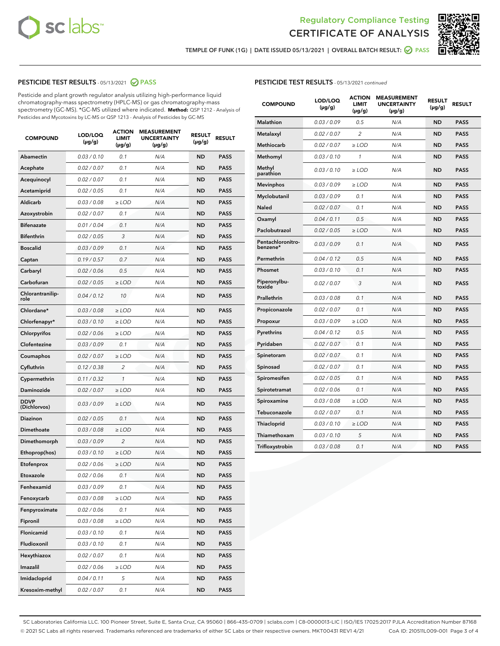



TEMPLE OF FUNK (1G) | DATE ISSUED 05/13/2021 | OVERALL BATCH RESULT: @ PASS

### PESTICIDE TEST RESULTS - 05/13/2021 2 PASS

Pesticide and plant growth regulator analysis utilizing high-performance liquid chromatography-mass spectrometry (HPLC-MS) or gas chromatography-mass spectrometry (GC-MS). \*GC-MS utilized where indicated. **Method:** QSP 1212 - Analysis of Pesticides and Mycotoxins by LC-MS or QSP 1213 - Analysis of Pesticides by GC-MS

| <b>COMPOUND</b>             | LOD/LOQ<br>(µg/g) | <b>ACTION</b><br>LIMIT<br>(µg/g) | <b>MEASUREMENT</b><br><b>UNCERTAINTY</b><br>$(\mu g/g)$ | <b>RESULT</b><br>$(\mu g/g)$ | <b>RESULT</b> |
|-----------------------------|-------------------|----------------------------------|---------------------------------------------------------|------------------------------|---------------|
| Abamectin                   | 0.03 / 0.10       | 0.1                              | N/A                                                     | <b>ND</b>                    | <b>PASS</b>   |
| Acephate                    | 0.02 / 0.07       | 0.1                              | N/A                                                     | <b>ND</b>                    | <b>PASS</b>   |
| Acequinocyl                 | 0.02 / 0.07       | 0.1                              | N/A                                                     | ND                           | <b>PASS</b>   |
| Acetamiprid                 | 0.02 / 0.05       | 0.1                              | N/A                                                     | <b>ND</b>                    | <b>PASS</b>   |
| Aldicarb                    | 0.03 / 0.08       | $\geq$ LOD                       | N/A                                                     | <b>ND</b>                    | <b>PASS</b>   |
| Azoxystrobin                | 0.02 / 0.07       | 0.1                              | N/A                                                     | ND                           | <b>PASS</b>   |
| <b>Bifenazate</b>           | 0.01 / 0.04       | 0.1                              | N/A                                                     | <b>ND</b>                    | <b>PASS</b>   |
| <b>Bifenthrin</b>           | 0.02 / 0.05       | 3                                | N/A                                                     | <b>ND</b>                    | <b>PASS</b>   |
| <b>Boscalid</b>             | 0.03 / 0.09       | 0.1                              | N/A                                                     | ND                           | <b>PASS</b>   |
| Captan                      | 0.19/0.57         | 0.7                              | N/A                                                     | <b>ND</b>                    | <b>PASS</b>   |
| Carbaryl                    | 0.02 / 0.06       | 0.5                              | N/A                                                     | <b>ND</b>                    | <b>PASS</b>   |
| Carbofuran                  | 0.02 / 0.05       | ≥ LOD                            | N/A                                                     | ND                           | PASS          |
| Chlorantranilip-<br>role    | 0.04 / 0.12       | 10                               | N/A                                                     | <b>ND</b>                    | <b>PASS</b>   |
| Chlordane*                  | 0.03 / 0.08       | $\ge$ LOD                        | N/A                                                     | <b>ND</b>                    | <b>PASS</b>   |
| Chlorfenapyr*               | 0.03 / 0.10       | $>$ LOD                          | N/A                                                     | <b>ND</b>                    | <b>PASS</b>   |
| Chlorpyrifos                | 0.02 / 0.06       | $\ge$ LOD                        | N/A                                                     | ND                           | <b>PASS</b>   |
| Clofentezine                | 0.03 / 0.09       | 0.1                              | N/A                                                     | <b>ND</b>                    | <b>PASS</b>   |
| Coumaphos                   | 0.02 / 0.07       | $\ge$ LOD                        | N/A                                                     | <b>ND</b>                    | <b>PASS</b>   |
| Cyfluthrin                  | 0.12 / 0.38       | $\overline{c}$                   | N/A                                                     | <b>ND</b>                    | <b>PASS</b>   |
| Cypermethrin                | 0.11 / 0.32       | $\mathcal{I}$                    | N/A                                                     | ND                           | <b>PASS</b>   |
| Daminozide                  | 0.02 / 0.07       | $\geq$ LOD                       | N/A                                                     | <b>ND</b>                    | <b>PASS</b>   |
| <b>DDVP</b><br>(Dichlorvos) | 0.03 / 0.09       | $\geq$ LOD                       | N/A                                                     | <b>ND</b>                    | <b>PASS</b>   |
| <b>Diazinon</b>             | 0.02 / 0.05       | 0.1                              | N/A                                                     | <b>ND</b>                    | <b>PASS</b>   |
| Dimethoate                  | 0.03 / 0.08       | $\geq$ LOD                       | N/A                                                     | ND                           | <b>PASS</b>   |
| Dimethomorph                | 0.03 / 0.09       | 2                                | N/A                                                     | <b>ND</b>                    | <b>PASS</b>   |
| Ethoprop(hos)               | 0.03/0.10         | $\geq$ LOD                       | N/A                                                     | <b>ND</b>                    | <b>PASS</b>   |
| Etofenprox                  | 0.02 / 0.06       | $\geq$ LOD                       | N/A                                                     | ND                           | <b>PASS</b>   |
| Etoxazole                   | 0.02 / 0.06       | 0.1                              | N/A                                                     | <b>ND</b>                    | <b>PASS</b>   |
| Fenhexamid                  | 0.03 / 0.09       | 0.1                              | N/A                                                     | <b>ND</b>                    | <b>PASS</b>   |
| Fenoxycarb                  | 0.03 / 0.08       | ≥ LOD                            | N/A                                                     | ND                           | PASS          |
| Fenpyroximate               | 0.02 / 0.06       | 0.1                              | N/A                                                     | ND                           | <b>PASS</b>   |
| Fipronil                    | 0.03 / 0.08       | $\ge$ LOD                        | N/A                                                     | <b>ND</b>                    | <b>PASS</b>   |
| Flonicamid                  | 0.03 / 0.10       | 0.1                              | N/A                                                     | <b>ND</b>                    | <b>PASS</b>   |
| Fludioxonil                 | 0.03 / 0.10       | 0.1                              | N/A                                                     | <b>ND</b>                    | <b>PASS</b>   |
| Hexythiazox                 | 0.02 / 0.07       | 0.1                              | N/A                                                     | <b>ND</b>                    | <b>PASS</b>   |
| Imazalil                    | 0.02 / 0.06       | $\geq$ LOD                       | N/A                                                     | <b>ND</b>                    | <b>PASS</b>   |
| Imidacloprid                | 0.04 / 0.11       | 5                                | N/A                                                     | <b>ND</b>                    | <b>PASS</b>   |
| Kresoxim-methyl             | 0.02 / 0.07       | 0.1                              | N/A                                                     | ND                           | <b>PASS</b>   |

# PESTICIDE TEST RESULTS - 05/13/2021 continued

| <b>COMPOUND</b>               | LOD/LOQ<br>$(\mu g/g)$ | <b>ACTION</b><br><b>LIMIT</b><br>$(\mu g/g)$ | <b>MEASUREMENT</b><br><b>UNCERTAINTY</b><br>$(\mu g/g)$ | <b>RESULT</b><br>(µg/g) | <b>RESULT</b> |
|-------------------------------|------------------------|----------------------------------------------|---------------------------------------------------------|-------------------------|---------------|
| <b>Malathion</b>              | 0.03/0.09              | 0.5                                          | N/A                                                     | <b>ND</b>               | <b>PASS</b>   |
| Metalaxyl                     | 0.02 / 0.07            | $\overline{2}$                               | N/A                                                     | ND                      | <b>PASS</b>   |
| Methiocarb                    | 0.02 / 0.07            | ≥ LOD                                        | N/A                                                     | <b>ND</b>               | <b>PASS</b>   |
| Methomyl                      | 0.03 / 0.10            | 1                                            | N/A                                                     | <b>ND</b>               | <b>PASS</b>   |
| Methyl<br>parathion           | 0.03 / 0.10            | ≥ LOD                                        | N/A                                                     | ND                      | <b>PASS</b>   |
| <b>Mevinphos</b>              | 0.03 / 0.09            | $\geq$ LOD                                   | N/A                                                     | <b>ND</b>               | <b>PASS</b>   |
| Myclobutanil                  | 0.03 / 0.09            | 0.1                                          | N/A                                                     | <b>ND</b>               | <b>PASS</b>   |
| Naled                         | 0.02 / 0.07            | 0.1                                          | N/A                                                     | <b>ND</b>               | <b>PASS</b>   |
| Oxamyl                        | 0.04 / 0.11            | 0.5                                          | N/A                                                     | <b>ND</b>               | <b>PASS</b>   |
| Paclobutrazol                 | 0.02 / 0.05            | $\geq$ LOD                                   | N/A                                                     | <b>ND</b>               | <b>PASS</b>   |
| Pentachloronitro-<br>benzene* | 0.03/0.09              | 0.1                                          | N/A                                                     | ND                      | <b>PASS</b>   |
| Permethrin                    | 0.04 / 0.12            | 0.5                                          | N/A                                                     | <b>ND</b>               | <b>PASS</b>   |
| Phosmet                       | 0.03/0.10              | 0.1                                          | N/A                                                     | ND                      | <b>PASS</b>   |
| Piperonylbu-<br>toxide        | 0.02 / 0.07            | 3                                            | N/A                                                     | <b>ND</b>               | <b>PASS</b>   |
| Prallethrin                   | 0.03 / 0.08            | 0.1                                          | N/A                                                     | <b>ND</b>               | <b>PASS</b>   |
| Propiconazole                 | 0.02 / 0.07            | 0.1                                          | N/A                                                     | <b>ND</b>               | <b>PASS</b>   |
| Propoxur                      | 0.03 / 0.09            | $\geq$ LOD                                   | N/A                                                     | <b>ND</b>               | <b>PASS</b>   |
| Pyrethrins                    | 0.04 / 0.12            | 0.5                                          | N/A                                                     | ND                      | <b>PASS</b>   |
| Pyridaben                     | 0.02 / 0.07            | 0.1                                          | N/A                                                     | <b>ND</b>               | <b>PASS</b>   |
| Spinetoram                    | 0.02 / 0.07            | 0.1                                          | N/A                                                     | <b>ND</b>               | <b>PASS</b>   |
| Spinosad                      | 0.02 / 0.07            | 0.1                                          | N/A                                                     | <b>ND</b>               | <b>PASS</b>   |
| Spiromesifen                  | 0.02 / 0.05            | 0.1                                          | N/A                                                     | ND                      | <b>PASS</b>   |
| Spirotetramat                 | 0.02 / 0.06            | 0.1                                          | N/A                                                     | <b>ND</b>               | <b>PASS</b>   |
| Spiroxamine                   | 0.03 / 0.08            | $\geq$ LOD                                   | N/A                                                     | <b>ND</b>               | <b>PASS</b>   |
| Tebuconazole                  | 0.02 / 0.07            | 0.1                                          | N/A                                                     | <b>ND</b>               | <b>PASS</b>   |
| Thiacloprid                   | 0.03 / 0.10            | $\geq$ LOD                                   | N/A                                                     | <b>ND</b>               | <b>PASS</b>   |
| Thiamethoxam                  | 0.03 / 0.10            | 5                                            | N/A                                                     | <b>ND</b>               | <b>PASS</b>   |
| Trifloxystrobin               | 0.03 / 0.08            | 0.1                                          | N/A                                                     | <b>ND</b>               | <b>PASS</b>   |

SC Laboratories California LLC. 100 Pioneer Street, Suite E, Santa Cruz, CA 95060 | 866-435-0709 | sclabs.com | C8-0000013-LIC | ISO/IES 17025:2017 PJLA Accreditation Number 87168 © 2021 SC Labs all rights reserved. Trademarks referenced are trademarks of either SC Labs or their respective owners. MKT00431 REV1 4/21 CoA ID: 210511L009-001 Page 3 of 4